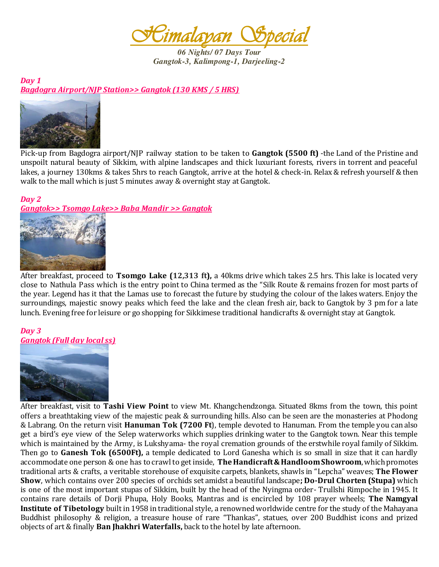

*06 Nights/ 07 Days Tour Gangtok-3, Kalimpong-1, Darjeeling-2* 

*Day 1 Bagdogra Airport/NJP Station>> Gangtok (130 KMS / 5 HRS)* 



Pick-up from Bagdogra airport/NJP railway station to be taken to **Gangtok (5500 ft)** -the Land of the Pristine and unspoilt natural beauty of Sikkim, with alpine landscapes and thick luxuriant forests, rivers in torrent and peaceful lakes, a journey 130kms & takes 5hrs to reach Gangtok, arrive at the hotel & check-in. Relax & refresh yourself & then walk to the mall which is just 5 minutes away & overnight stay at Gangtok.

#### *Day 2*

*Gangtok>> Tsomgo Lake>> Baba Mandir >> Gangtok* 



After breakfast, proceed to **Tsomgo Lake (12,313 ft),** a 40kms drive which takes 2.5 hrs. This lake is located very close to Nathula Pass which is the entry point to China termed as the "Silk Route & remains frozen for most parts of the year. Legend has it that the Lamas use to forecast the future by studying the colour of the lakes waters. Enjoy the surroundings, majestic snowy peaks which feed the lake and the clean fresh air, back to Gangtok by 3 pm for a late lunch. Evening free for leisure or go shopping for Sikkimese traditional handicrafts & overnight stay at Gangtok.

#### *Day 3 Gangtok (Full day local ss)*



After breakfast, visit to **Tashi View Point** to view Mt. Khangchendzonga. Situated 8kms from the town, this point offers a breathtaking view of the majestic peak & surrounding hills. Also can be seen are the monasteries at Phodong & Labrang. On the return visit **Hanuman Tok (7200 Ft**), temple devoted to Hanuman. From the temple you can also get a bird's eye view of the Selep waterworks which supplies drinking water to the Gangtok town. Near this temple which is maintained by the Army, is Lukshyama- the royal cremation grounds of the erstwhile royal family of Sikkim. Then go to **Ganesh Tok (6500Ft),** a temple dedicated to Lord Ganesha which is so small in size that it can hardly accommodate one person & one has to crawl to get inside, **TheHandicraft & Handloom Showroom**, which promotes traditional arts & crafts, a veritable storehouse of exquisite carpets, blankets, shawls in "Lepcha" weaves; **The Flower Show**, which contains over 200 species of orchids set amidst a beautiful landscape**; Do-Drul Chorten (Stupa)** which is one of the most important stupas of Sikkim, built by the head of the Nyingma order- Trullshi Rimpoche in 1945. It contains rare details of Dorji Phupa, Holy Books, Mantras and is encircled by 108 prayer wheels; **The Namgyal Institute of Tibetology** built in 1958 in traditional style, a renowned worldwide centre for the study of the Mahayana Buddhist philosophy & religion, a treasure house of rare "Thankas", statues, over 200 Buddhist icons and prized objects of art & finally **Ban Jhakhri Waterfalls,** back to the hotel by late afternoon.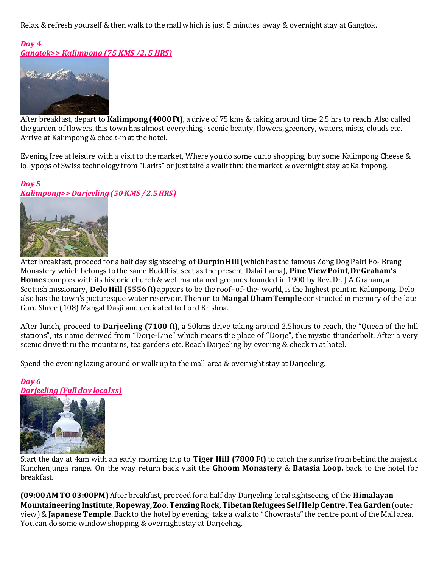Relax & refresh yourself & then walk to the mall which is just 5 minutes away & overnight stay at Gangtok.

# *Day 4*

*Gangtok>> Kalimpong (75 KMS /2. 5 HRS)* 



After breakfast, depart to **Kalimpong (4000 Ft)**, a drive of 75 kms & taking around time 2.5 hrs to reach. Also called the garden of flowers, this town has almost everything- scenic beauty, flowers, greenery, waters, mists, clouds etc. Arrive at Kalimpong & check-in at the hotel.

Evening free at leisure with a visit to the market, Where you do some curio shopping, buy some Kalimpong Cheese & lollypops of Swiss technology from **"**Larks**"** or just take a walk thru the market & overnight stay at Kalimpong.

#### *Day 5 Kalimpong>> Darjeeling (50 KMS / 2.5 HRS)*



After breakfast, proceed for a half day sightseeing of **Durpin Hill** (which has the famous Zong Dog Palri Fo- Brang Monastery which belongs to the same Buddhist sect as the present Dalai Lama), **Pine View Point**, **Dr Graham's Homes** complex with its historic church & well maintained grounds founded in 1900 by Rev. Dr. J A Graham, a Scottish missionary, **Delo Hill (5556 ft)** appears to be the roof- of- the- world, is the highest point in Kalimpong. Delo also has the town's picturesque water reservoir. Then on to **Mangal Dham Temple** constructed in memory of the late Guru Shree (108) Mangal Dasji and dedicated to Lord Krishna.

After lunch, proceed to **Darjeeling (7100 ft),** a 50kms drive taking around 2.5hours to reach, the "Queen of the hill stations", its name derived from "Dorje-Line" which means the place of "Dorje", the mystic thunderbolt. After a very scenic drive thru the mountains, tea gardens etc. Reach Darjeeling by evening & check in at hotel.

Spend the evening lazing around or walk up to the mall area & overnight stay at Darjeeling.

## *Day 6 Darjeeling (Full day local ss)*



Start the day at 4am with an early morning trip to **Tiger Hill (7800 Ft)** to catch the sunrise from behind the majestic Kunchenjunga range. On the way return back visit the **Ghoom Monastery** & **Batasia Loop,** back to the hotel for breakfast.

**(09:00 AM TO 03:00PM)** After breakfast, proceed for a half day Darjeeling local sightseeing of the **Himalayan Mountaineering Institute**, **Ropeway,Zoo**, **Tenzing Rock**, **Tibetan Refugees Self Help Centre, Tea Garden** (outer view)& **Japanese Temple**. Back to the hotel by evening; take a walk to "Chowrasta" the centre point of the Mall area. You can do some window shopping & overnight stay at Darjeeling.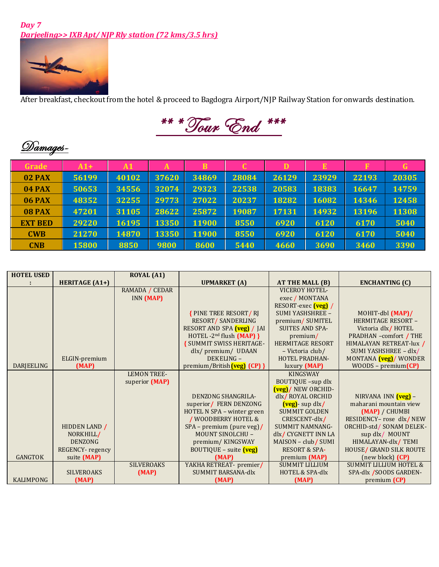### *Day 7 Darjeeling>> IXB Apt/ NJP Rly station (72 kms/3.5 hrs)*



After breakfast, checkout from the hotel & proceed to Bagdogra Airport/NJP Railway Station for onwards destination.

\*\* \* Tour End \*\*\*

# Damages-

| Grade          | $A1+$ | A1    | A     |       | C     | D     | E     |       |       |
|----------------|-------|-------|-------|-------|-------|-------|-------|-------|-------|
| 02 PAX         | 56199 | 40102 | 37620 | 34869 | 28084 | 26129 | 23929 | 22193 | 20305 |
| 04 PAX         | 50653 | 34556 | 32074 | 29323 | 22538 | 20583 | 18383 | 16647 | 14759 |
| <b>06 PAX</b>  | 48352 | 32255 | 29773 | 27022 | 20237 | 18282 | 16082 | 14346 | 12458 |
| 08 PAX         | 47201 | 31105 | 28622 | 25872 | 19087 | 17131 | 14932 | 13196 | 11308 |
| <b>EXT BED</b> | 29220 | 16195 | 13350 | 11900 | 8550  | 6920  | 6120  | 6170  | 5040  |
| <b>CWB</b>     | 21270 | 14870 | 13350 | 11900 | 8550  | 6920  | 6120  | 6170  | 5040  |
| <b>CNB</b>     | 15800 | 8850  | 9800  | 8600  | 5440  | 4660  | 3690  | 3460  | 3390  |

| <b>HOTEL USED</b> |                       | <b>ROYAL</b> (A1)  |                                 |                            |                                   |
|-------------------|-----------------------|--------------------|---------------------------------|----------------------------|-----------------------------------|
|                   | <b>HERITAGE (A1+)</b> |                    | <b>UPMARKET</b> (A)             | AT THE MALL (B)            | <b>ENCHANTING (C)</b>             |
|                   |                       | RAMADA / CEDAR     |                                 | <b>VICEROY HOTEL-</b>      |                                   |
|                   |                       | INN (MAP)          |                                 | exec / MONTANA             |                                   |
|                   |                       |                    |                                 | RESORT-exec (veg) /        |                                   |
|                   |                       |                    | <b>{PINE TREE RESORT/RJ</b>     | <b>SUMI YASHSHREE -</b>    | MOHIT-dbl (MAP)/                  |
|                   |                       |                    | <b>RESORT/ SANDERLING</b>       | premium/SUMITEL            | HERMITAGE RESORT -                |
|                   |                       |                    | RESORT AND SPA (veg) / JAI      | <b>SUITES AND SPA-</b>     | Victoria dlx/HOTEL                |
|                   |                       |                    | HOTEL $-2^{nd}$ flush (MAP) }   | premium/                   | PRADHAN -comfort / THE            |
|                   |                       |                    | <b>{ SUMMIT SWISS HERITAGE-</b> | HERMITAGE RESORT           | HIMALAYAN RETREAT-lux /           |
|                   |                       |                    | dlx/premium/ UDAAN              | - Victoria club/           | SUMI YASHSHREE - dlx/             |
|                   | ELGIN-premium         |                    | DEKELING -                      | HOTEL PRADHAN-             | MONTANA <i>(veg)</i> / WONDER     |
| DARJEELING        | (MAP)                 |                    | premium/British(veg) (CP) }     | luxury (MAP)               | $WOODS - premium(CP)$             |
|                   |                       | <b>LEMON TREE-</b> |                                 | <b>KINGSWAY</b>            |                                   |
|                   |                       | superior (MAP)     |                                 | BOUTIQUE -sup dlx          |                                   |
|                   |                       |                    |                                 | (veg)/ NEW ORCHID-         |                                   |
|                   |                       |                    | <b>DENZONG SHANGRILA-</b>       | dlx/ROYAL ORCHID           | NIRVANA INN (veg) -               |
|                   |                       |                    | superior/ FERN DENZONG          | (veg) - sup dlx/           | maharani mountain view            |
|                   |                       |                    | HOTEL N SPA - winter green      | <b>SUMMIT GOLDEN</b>       | (MAP) / CHUMBI                    |
|                   |                       |                    | / WOODBERRY HOTEL &             | CRESCENT-dlx/              | RESIDENCY- rose dlx/NEW           |
|                   | HIDDEN LAND /         |                    | $SPA - premium (pure veg)$      | <b>SUMMIT NAMNANG-</b>     | ORCHID-std / SONAM DELEK-         |
|                   | NORKHILL/             |                    | <b>MOUNT SINOLCHU -</b>         | dlx/ CYGNETT INN LA        | sup dlx/ MOUNT                    |
|                   | <b>DENZONG</b>        |                    | premium/KINGSWAY                | MAISON - club/SUMI         | HIMALAYAN-dlx/TEMI                |
|                   | REGENCY-regency       |                    | BOUTIQUE - suite (veg)          | <b>RESORT &amp; SPA-</b>   | HOUSE/ GRAND SILK ROUTE           |
| <b>GANGTOK</b>    | suite (MAP)           |                    | (MAP)                           | premium (MAP)              | (new block) (CP)                  |
|                   |                       | <b>SILVEROAKS</b>  | YAKHA RETREAT- premier/         | <b>SUMMIT LILLIUM</b>      | <b>SUMMIT LILLIUM HOTEL &amp;</b> |
|                   | <b>SILVEROAKS</b>     | (MAP)              | <b>SUMMIT BARSANA-dlx</b>       | <b>HOTEL &amp; SPA-dlx</b> | SPA-dlx /SOODS GARDEN-            |
| <b>KALIMPONG</b>  | (MAP)                 |                    | (MAP)                           | (MAP)                      | premium (CP)                      |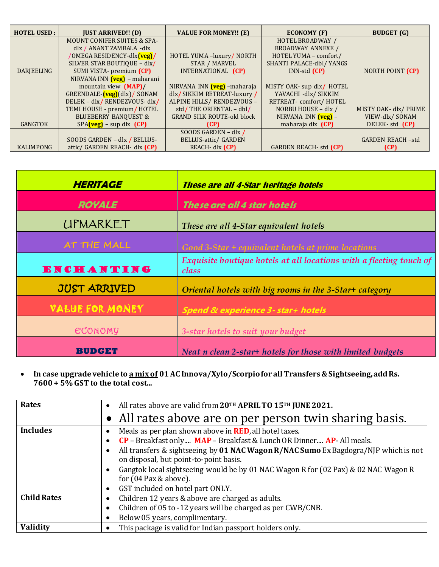| <b>HOTEL USED:</b> | <b>JUST ARRIVED!! (D)</b>                | <b>VALUE FOR MONEY!!</b> (E)      | <b>ECONOMY (F)</b>            | <b>BUDGET</b> (G)       |
|--------------------|------------------------------------------|-----------------------------------|-------------------------------|-------------------------|
|                    | <b>MOUNT CONIFER SUITES &amp; SPA-</b>   |                                   | HOTEL BROADWAY /              |                         |
|                    | dlx / ANANT ZAMBALA -dlx                 |                                   | <b>BROADWAY ANNEXE /</b>      |                         |
|                    | /OMEGA RESIDENCY-dlx <mark>(veg)/</mark> | HOTEL YUMA -luxury/ NORTH         | HOTEL YUMA - comfort/         |                         |
|                    | SILVER STAR BOUTIQUE - dlx/              | STAR / MARVEL                     | SHANTI PALACE-dbl/ YANGS      |                         |
| <b>DARIEELING</b>  | SUMI VISTA- premium (CP)                 | INTERNATIONAL (CP)                | $INN$ -std $(CP)$             | NORTH POINT (CP)        |
|                    | NIRVANA INN (veg) – maharani             |                                   |                               |                         |
|                    | mountain view (MAP)/                     | NIRVANA INN (veg) - maharaja      | MISTY OAK- sup dlx/ HOTEL     |                         |
|                    | GREENDALE- <b>(veg)</b> (dlx)/ SONAM     | dlx/SIKKIM RETREAT-luxury/        | YAVACHI -dlx/ SIKKIM          |                         |
|                    | DELEK - dlx/RENDEZVOUS- dlx/             | ALPINE HILLS/ RENDEZVOUS -        | RETREAT- comfort/HOTEL        |                         |
|                    | TEMI HOUSE - premium/HOTEL               | std/THE ORIENTAL - dbl/           | NORBU HOUSE - dlx /           | MISTY OAK- dlx/ PRIME   |
|                    | <b>BLUEBERRY BANQUEST &amp;</b>          | <b>GRAND SILK ROUTE-old block</b> | NIRVANA INN (veg) –           | VIEW-dlx/SONAM          |
| <b>GANGTOK</b>     | $SPA$ (veg) – sup dlx (CP)               | (CP)                              | maharaja dlx (CP)             | DELEK-std (CP)          |
|                    |                                          | SOODS GARDEN - dlx /              |                               |                         |
|                    | SOODS GARDEN - dlx / BELLUS-             | BELLUS-attic/ GARDEN              |                               | <b>GARDEN REACH-std</b> |
| <b>KALIMPONG</b>   | attic/ GARDEN REACH- dlx (CP)            | REACH- dlx (CP)                   | <b>GARDEN REACH- std (CP)</b> | (CP)                    |

| <b>HERITAGE</b>     | <b>These are all 4-Star heritage hotels</b>                                  |
|---------------------|------------------------------------------------------------------------------|
| <b>ROYALE</b>       | These are all 4 star hotels                                                  |
| <b>UPMARKET</b>     | These are all 4-Star equivalent hotels                                       |
| <b>AT THE MALL</b>  | Good 3-Star + equivalent hotels at prime locations                           |
| <b>ENCHANTING</b>   | Exquisite boutique hotels at all locations with a fleeting touch of<br>class |
| <b>JUST ARRIVED</b> | Oriental hotels with big rooms in the 3-Star+ category                       |
| VALUE FOR MONEY     | Spend & experience 3- star+ hotels                                           |
| <b>ECONOMY</b>      | 3-star hotels to suit your budget                                            |
| BUDGER              | Neat n clean 2-star+ hotels for those with limited budgets                   |

 **In case upgrade vehicle to a mix of 01 AC Innova/Xylo/Scorpio for all Transfers & Sightseeing, add Rs. 7600 + 5% GST to the total cost...** 

| Rates              | All rates above are valid from 20TH APRILTO 15TH JUNE 2021.<br>$\bullet$                                                      |
|--------------------|-------------------------------------------------------------------------------------------------------------------------------|
|                    | • All rates above are on per person twin sharing basis.                                                                       |
| <b>Includes</b>    | Meals as per plan shown above in <b>RED</b> , all hotel taxes.<br>٠                                                           |
|                    | $CP$ – Breakfast only MAP – Breakfast & Lunch OR Dinner AP- All meals.<br>٠                                                   |
|                    | All transfers & sightseeing by 01 NAC Wagon R/NAC Sumo Ex Bagdogra/NJP which is not<br>on disposal, but point-to-point basis. |
|                    | Gangtok local sightseeing would be by 01 NAC Wagon R for (02 Pax) & 02 NAC Wagon R<br>for $(04$ Pax & above).                 |
|                    | GST included on hotel part ONLY.<br>$\bullet$                                                                                 |
| <b>Child Rates</b> | Children 12 years & above are charged as adults.<br>٠                                                                         |
|                    | Children of 05 to -12 years will be charged as per CWB/CNB.                                                                   |
|                    | Below 05 years, complimentary.<br>٠                                                                                           |
| Validity           | This package is valid for Indian passport holders only.                                                                       |